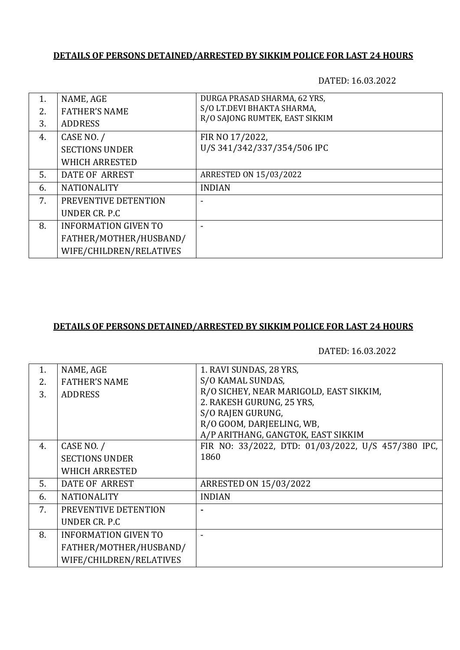DATED: 16.03.2022

| 1. | NAME, AGE                   | DURGA PRASAD SHARMA, 62 YRS,   |
|----|-----------------------------|--------------------------------|
| 2. | <b>FATHER'S NAME</b>        | S/O LT.DEVI BHAKTA SHARMA,     |
| 3. | <b>ADDRESS</b>              | R/O SAJONG RUMTEK, EAST SIKKIM |
| 4. | CASE NO. /                  | FIR NO 17/2022,                |
|    | <b>SECTIONS UNDER</b>       | U/S 341/342/337/354/506 IPC    |
|    | <b>WHICH ARRESTED</b>       |                                |
| 5. | DATE OF ARREST              | ARRESTED ON 15/03/2022         |
| 6. | <b>NATIONALITY</b>          | <b>INDIAN</b>                  |
| 7. | PREVENTIVE DETENTION        |                                |
|    | UNDER CR. P.C               |                                |
| 8. | <b>INFORMATION GIVEN TO</b> |                                |
|    | FATHER/MOTHER/HUSBAND/      |                                |
|    | WIFE/CHILDREN/RELATIVES     |                                |

#### **DETAILS OF PERSONS DETAINED/ARRESTED BY SIKKIM POLICE FOR LAST 24 HOURS**

| 1. | NAME, AGE                   | 1. RAVI SUNDAS, 28 YRS,                            |
|----|-----------------------------|----------------------------------------------------|
| 2. | <b>FATHER'S NAME</b>        | S/O KAMAL SUNDAS,                                  |
| 3. | <b>ADDRESS</b>              | R/O SICHEY, NEAR MARIGOLD, EAST SIKKIM,            |
|    |                             | 2. RAKESH GURUNG, 25 YRS,                          |
|    |                             | S/O RAJEN GURUNG,                                  |
|    |                             | R/O GOOM, DARJEELING, WB,                          |
|    |                             | A/P ARITHANG, GANGTOK, EAST SIKKIM                 |
| 4. | CASE NO. /                  | FIR NO: 33/2022, DTD: 01/03/2022, U/S 457/380 IPC, |
|    | <b>SECTIONS UNDER</b>       | 1860                                               |
|    | <b>WHICH ARRESTED</b>       |                                                    |
| 5. | DATE OF ARREST              | <b>ARRESTED ON 15/03/2022</b>                      |
| 6. | <b>NATIONALITY</b>          | <b>INDIAN</b>                                      |
| 7. | PREVENTIVE DETENTION        |                                                    |
|    | UNDER CR. P.C               |                                                    |
| 8. | <b>INFORMATION GIVEN TO</b> |                                                    |
|    | FATHER/MOTHER/HUSBAND/      |                                                    |
|    | WIFE/CHILDREN/RELATIVES     |                                                    |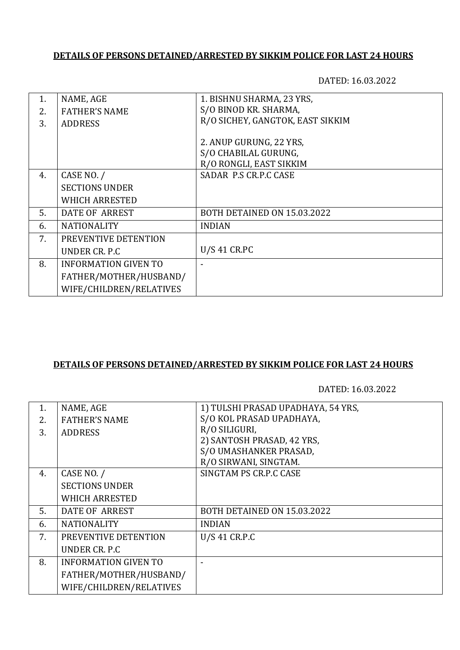DATED: 16.03.2022

| 1. | NAME, AGE                   | 1. BISHNU SHARMA, 23 YRS,        |
|----|-----------------------------|----------------------------------|
|    |                             |                                  |
| 2. | <b>FATHER'S NAME</b>        | S/O BINOD KR. SHARMA,            |
| 3. | <b>ADDRESS</b>              | R/O SICHEY, GANGTOK, EAST SIKKIM |
|    |                             |                                  |
|    |                             | 2. ANUP GURUNG, 22 YRS,          |
|    |                             | S/O CHABILAL GURUNG,             |
|    |                             | R/O RONGLI, EAST SIKKIM          |
| 4. | CASE NO. /                  | SADAR P.S CR.P.C CASE            |
|    | <b>SECTIONS UNDER</b>       |                                  |
|    | <b>WHICH ARRESTED</b>       |                                  |
| 5. | DATE OF ARREST              | BOTH DETAINED ON 15.03.2022      |
| 6. | <b>NATIONALITY</b>          | <b>INDIAN</b>                    |
| 7. | PREVENTIVE DETENTION        |                                  |
|    | UNDER CR. P.C.              | $U/S$ 41 CR.PC                   |
| 8. | <b>INFORMATION GIVEN TO</b> |                                  |
|    | FATHER/MOTHER/HUSBAND/      |                                  |
|    | WIFE/CHILDREN/RELATIVES     |                                  |

### **DETAILS OF PERSONS DETAINED/ARRESTED BY SIKKIM POLICE FOR LAST 24 HOURS**

| 1. | NAME, AGE                   | 1) TULSHI PRASAD UPADHAYA, 54 YRS, |
|----|-----------------------------|------------------------------------|
| 2. | <b>FATHER'S NAME</b>        | S/O KOL PRASAD UPADHAYA,           |
| 3. | <b>ADDRESS</b>              | R/O SILIGURI,                      |
|    |                             | 2) SANTOSH PRASAD, 42 YRS,         |
|    |                             | S/O UMASHANKER PRASAD,             |
|    |                             | R/O SIRWANI, SINGTAM.              |
| 4. | CASE NO. /                  | SINGTAM PS CR.P.C CASE             |
|    | <b>SECTIONS UNDER</b>       |                                    |
|    | <b>WHICH ARRESTED</b>       |                                    |
| 5. | DATE OF ARREST              | BOTH DETAINED ON 15.03.2022        |
| 6. | <b>NATIONALITY</b>          | <b>INDIAN</b>                      |
| 7. | PREVENTIVE DETENTION        | U/S 41 CR.P.C                      |
|    | UNDER CR. P.C.              |                                    |
| 8. | <b>INFORMATION GIVEN TO</b> |                                    |
|    | FATHER/MOTHER/HUSBAND/      |                                    |
|    | WIFE/CHILDREN/RELATIVES     |                                    |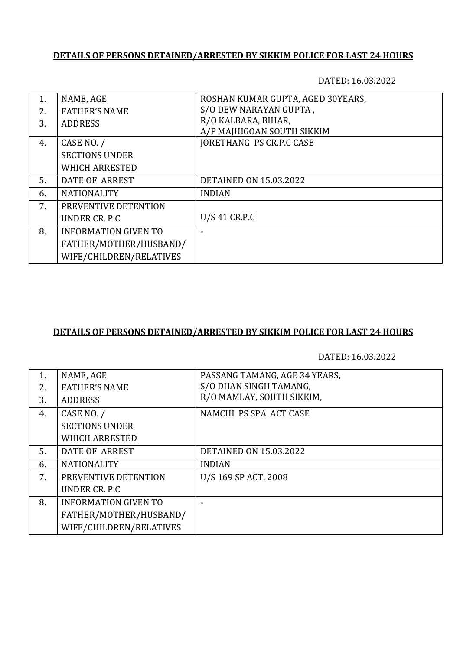DATED: 16.03.2022

| 1.  | NAME, AGE                   | ROSHAN KUMAR GUPTA, AGED 30YEARS, |
|-----|-----------------------------|-----------------------------------|
| 2.5 | <b>FATHER'S NAME</b>        | S/O DEW NARAYAN GUPTA,            |
| 3.  | <b>ADDRESS</b>              | R/O KALBARA, BIHAR,               |
|     |                             | A/P MAJHIGOAN SOUTH SIKKIM        |
| 4.  | CASE NO. /                  | <b>JORETHANG PS CR.P.C CASE</b>   |
|     | <b>SECTIONS UNDER</b>       |                                   |
|     | <b>WHICH ARRESTED</b>       |                                   |
| .5. | DATE OF ARREST              | <b>DETAINED ON 15.03.2022</b>     |
| 6.  | <b>NATIONALITY</b>          | <b>INDIAN</b>                     |
| 7.  | PREVENTIVE DETENTION        |                                   |
|     | UNDER CR. P.C.              | U/S 41 CR.P.C                     |
| 8.  | <b>INFORMATION GIVEN TO</b> |                                   |
|     | FATHER/MOTHER/HUSBAND/      |                                   |
|     | WIFE/CHILDREN/RELATIVES     |                                   |
|     |                             |                                   |

## **DETAILS OF PERSONS DETAINED/ARRESTED BY SIKKIM POLICE FOR LAST 24 HOURS**

| 1. | NAME, AGE                   | PASSANG TAMANG, AGE 34 YEARS, |
|----|-----------------------------|-------------------------------|
| 2. | <b>FATHER'S NAME</b>        | S/O DHAN SINGH TAMANG,        |
| 3. | <b>ADDRESS</b>              | R/O MAMLAY, SOUTH SIKKIM,     |
| 4. | CASE NO. /                  | NAMCHI PS SPA ACT CASE        |
|    | <b>SECTIONS UNDER</b>       |                               |
|    | <b>WHICH ARRESTED</b>       |                               |
| 5. | DATE OF ARREST              | <b>DETAINED ON 15.03.2022</b> |
| 6. | <b>NATIONALITY</b>          | <b>INDIAN</b>                 |
| 7. | PREVENTIVE DETENTION        | U/S 169 SP ACT, 2008          |
|    | UNDER CR. P.C.              |                               |
| 8. | <b>INFORMATION GIVEN TO</b> |                               |
|    | FATHER/MOTHER/HUSBAND/      |                               |
|    | WIFE/CHILDREN/RELATIVES     |                               |